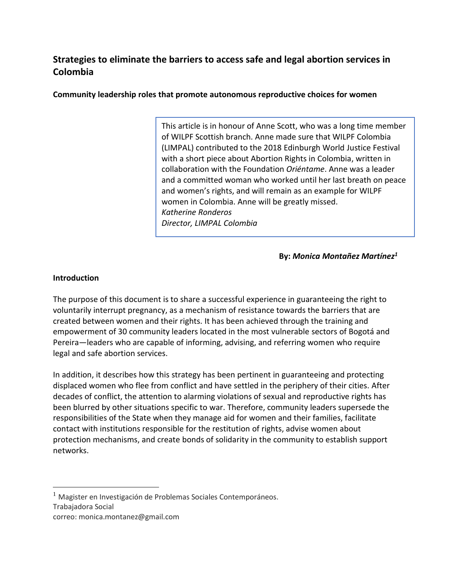# **Strategies to eliminate the barriers to access safe and legal abortion services in Colombia**

**Community leadership roles that promote autonomous reproductive choices for women**

This article is in honour of Anne Scott, who was a long time member of WILPF Scottish branch. Anne made sure that WILPF Colombia (LIMPAL) contributed to the 2018 Edinburgh World Justice Festival with a short piece about Abortion Rights in Colombia, written in collaboration with the Foundation *Oriéntame*. Anne was a leader and a committed woman who worked until her last breath on peace and women's rights, and will remain as an example for WILPF women in Colombia. Anne will be greatly missed. *Katherine Ronderos Director, LIMPAL Colombia*

**By:** *Monica Montañez Martínez<sup>1</sup>*

#### **Introduction**

The purpose of this document is to share a successful experience in guaranteeing the right to voluntarily interrupt pregnancy, as a mechanism of resistance towards the barriers that are created between women and their rights. It has been achieved through the training and empowerment of 30 community leaders located in the most vulnerable sectors of Bogotá and Pereira—leaders who are capable of informing, advising, and referring women who require legal and safe abortion services.

In addition, it describes how this strategy has been pertinent in guaranteeing and protecting displaced women who flee from conflict and have settled in the periphery of their cities. After decades of conflict, the attention to alarming violations of sexual and reproductive rights has been blurred by other situations specific to war. Therefore, community leaders supersede the responsibilities of the State when they manage aid for women and their families, facilitate contact with institutions responsible for the restitution of rights, advise women about protection mechanisms, and create bonds of solidarity in the community to establish support networks.

 $\overline{a}$ 

 $1$  Magister en Investigación de Problemas Sociales Contemporáneos.

Trabajadora Social

correo: monica.montanez@gmail.com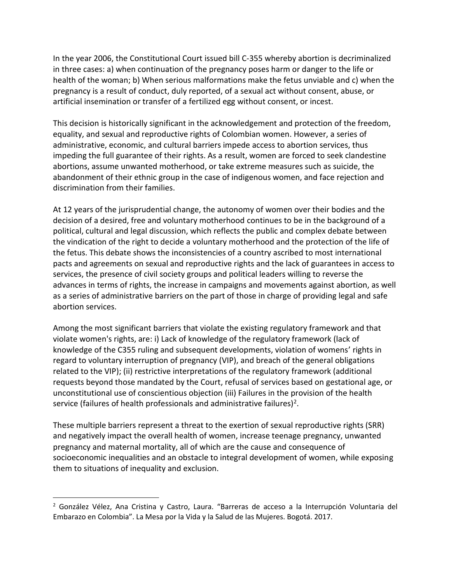In the year 2006, the Constitutional Court issued bill C-355 whereby abortion is decriminalized in three cases: a) when continuation of the pregnancy poses harm or danger to the life or health of the woman; b) When serious malformations make the fetus unviable and c) when the pregnancy is a result of conduct, duly reported, of a sexual act without consent, abuse, or artificial insemination or transfer of a fertilized egg without consent, or incest.

This decision is historically significant in the acknowledgement and protection of the freedom, equality, and sexual and reproductive rights of Colombian women. However, a series of administrative, economic, and cultural barriers impede access to abortion services, thus impeding the full guarantee of their rights. As a result, women are forced to seek clandestine abortions, assume unwanted motherhood, or take extreme measures such as suicide, the abandonment of their ethnic group in the case of indigenous women, and face rejection and discrimination from their families.

At 12 years of the jurisprudential change, the autonomy of women over their bodies and the decision of a desired, free and voluntary motherhood continues to be in the background of a political, cultural and legal discussion, which reflects the public and complex debate between the vindication of the right to decide a voluntary motherhood and the protection of the life of the fetus. This debate shows the inconsistencies of a country ascribed to most international pacts and agreements on sexual and reproductive rights and the lack of guarantees in access to services, the presence of civil society groups and political leaders willing to reverse the advances in terms of rights, the increase in campaigns and movements against abortion, as well as a series of administrative barriers on the part of those in charge of providing legal and safe abortion services.

Among the most significant barriers that violate the existing regulatory framework and that violate women's rights, are: i) Lack of knowledge of the regulatory framework (lack of knowledge of the C355 ruling and subsequent developments, violation of womens' rights in regard to voluntary interruption of pregnancy (VIP), and breach of the general obligations related to the VIP); (ii) restrictive interpretations of the regulatory framework (additional requests beyond those mandated by the Court, refusal of services based on gestational age, or unconstitutional use of conscientious objection (iii) Failures in the provision of the health service (failures of health professionals and administrative failures)<sup>2</sup>.

These multiple barriers represent a threat to the exertion of sexual reproductive rights (SRR) and negatively impact the overall health of women, increase teenage pregnancy, unwanted pregnancy and maternal mortality, all of which are the cause and consequence of socioeconomic inequalities and an obstacle to integral development of women, while exposing them to situations of inequality and exclusion.

 $\overline{a}$ 

<sup>2</sup> González Vélez, Ana Cristina y Castro, Laura. "Barreras de acceso a la Interrupción Voluntaria del Embarazo en Colombia". La Mesa por la Vida y la Salud de las Mujeres. Bogotá. 2017.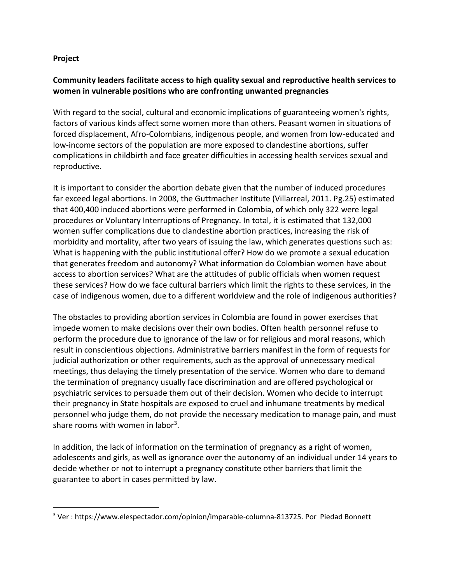### **Project**

 $\overline{a}$ 

# **Community leaders facilitate access to high quality sexual and reproductive health services to women in vulnerable positions who are confronting unwanted pregnancies**

With regard to the social, cultural and economic implications of guaranteeing women's rights, factors of various kinds affect some women more than others. Peasant women in situations of forced displacement, Afro-Colombians, indigenous people, and women from low-educated and low-income sectors of the population are more exposed to clandestine abortions, suffer complications in childbirth and face greater difficulties in accessing health services sexual and reproductive.

It is important to consider the abortion debate given that the number of induced procedures far exceed legal abortions. In 2008, the Guttmacher Institute (Villarreal, 2011. Pg.25) estimated that 400,400 induced abortions were performed in Colombia, of which only 322 were legal procedures or Voluntary Interruptions of Pregnancy. In total, it is estimated that 132,000 women suffer complications due to clandestine abortion practices, increasing the risk of morbidity and mortality, after two years of issuing the law, which generates questions such as: What is happening with the public institutional offer? How do we promote a sexual education that generates freedom and autonomy? What information do Colombian women have about access to abortion services? What are the attitudes of public officials when women request these services? How do we face cultural barriers which limit the rights to these services, in the case of indigenous women, due to a different worldview and the role of indigenous authorities?

The obstacles to providing abortion services in Colombia are found in power exercises that impede women to make decisions over their own bodies. Often health personnel refuse to perform the procedure due to ignorance of the law or for religious and moral reasons, which result in conscientious objections. Administrative barriers manifest in the form of requests for judicial authorization or other requirements, such as the approval of unnecessary medical meetings, thus delaying the timely presentation of the service. Women who dare to demand the termination of pregnancy usually face discrimination and are offered psychological or psychiatric services to persuade them out of their decision. Women who decide to interrupt their pregnancy in State hospitals are exposed to cruel and inhumane treatments by medical personnel who judge them, do not provide the necessary medication to manage pain, and must share rooms with women in labor<sup>3</sup>.

In addition, the lack of information on the termination of pregnancy as a right of women, adolescents and girls, as well as ignorance over the autonomy of an individual under 14 years to decide whether or not to interrupt a pregnancy constitute other barriers that limit the guarantee to abort in cases permitted by law.

<sup>3</sup> Ver : https://www.elespectador.com/opinion/imparable-columna-813725. Por Piedad Bonnett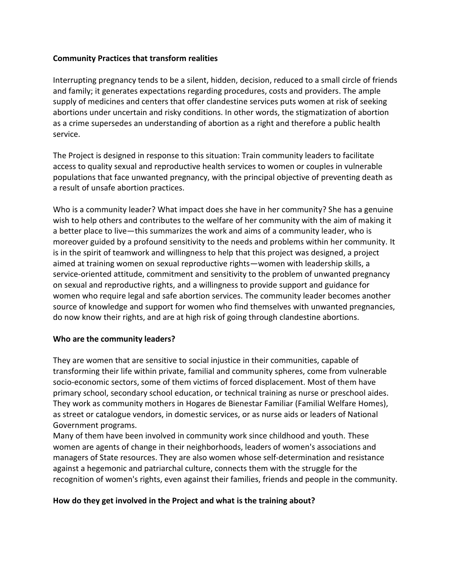### **Community Practices that transform realities**

Interrupting pregnancy tends to be a silent, hidden, decision, reduced to a small circle of friends and family; it generates expectations regarding procedures, costs and providers. The ample supply of medicines and centers that offer clandestine services puts women at risk of seeking abortions under uncertain and risky conditions. In other words, the stigmatization of abortion as a crime supersedes an understanding of abortion as a right and therefore a public health service.

The Project is designed in response to this situation: Train community leaders to facilitate access to quality sexual and reproductive health services to women or couples in vulnerable populations that face unwanted pregnancy, with the principal objective of preventing death as a result of unsafe abortion practices.

Who is a community leader? What impact does she have in her community? She has a genuine wish to help others and contributes to the welfare of her community with the aim of making it a better place to live—this summarizes the work and aims of a community leader, who is moreover guided by a profound sensitivity to the needs and problems within her community. It is in the spirit of teamwork and willingness to help that this project was designed, a project aimed at training women on sexual reproductive rights—women with leadership skills, a service-oriented attitude, commitment and sensitivity to the problem of unwanted pregnancy on sexual and reproductive rights, and a willingness to provide support and guidance for women who require legal and safe abortion services. The community leader becomes another source of knowledge and support for women who find themselves with unwanted pregnancies, do now know their rights, and are at high risk of going through clandestine abortions.

#### **Who are the community leaders?**

They are women that are sensitive to social injustice in their communities, capable of transforming their life within private, familial and community spheres, come from vulnerable socio-economic sectors, some of them victims of forced displacement. Most of them have primary school, secondary school education, or technical training as nurse or preschool aides. They work as community mothers in Hogares de Bienestar Familiar (Familial Welfare Homes), as street or catalogue vendors, in domestic services, or as nurse aids or leaders of National Government programs.

Many of them have been involved in community work since childhood and youth. These women are agents of change in their neighborhoods, leaders of women's associations and managers of State resources. They are also women whose self-determination and resistance against a hegemonic and patriarchal culture, connects them with the struggle for the recognition of women's rights, even against their families, friends and people in the community.

#### **How do they get involved in the Project and what is the training about?**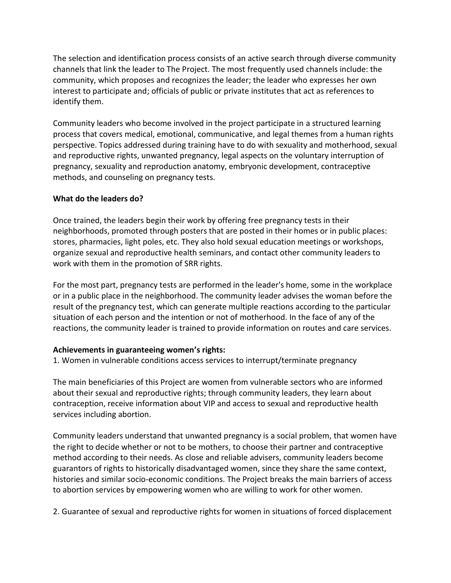The selection and identification process consists of an active search through diverse community channels that link the leader to The Project. The most frequently used channels include: the community, which proposes and recognizes the leader; the leader who expresses her own interest to participate and; officials of public or private institutes that act as references to identify them.

Community leaders who become involved in the project participate in a structured learning process that covers medical, emotional, communicative, and legal themes from a human rights perspective. Topics addressed during training have to do with sexuality and motherhood, sexual and reproductive rights, unwanted pregnancy, legal aspects on the voluntary interruption of pregnancy, sexuality and reproduction anatomy, embryonic development, contraceptive methods, and counseling on pregnancy tests.

# **What do the leaders do?**

Once trained, the leaders begin their work by offering free pregnancy tests in their neighborhoods, promoted through posters that are posted in their homes or in public places: stores, pharmacies, light poles, etc. They also hold sexual education meetings or workshops, organize sexual and reproductive health seminars, and contact other community leaders to work with them in the promotion of SRR rights.

For the most part, pregnancy tests are performed in the leader's home, some in the workplace or in a public place in the neighborhood. The community leader advises the woman before the result of the pregnancy test, which can generate multiple reactions according to the particular situation of each person and the intention or not of motherhood. In the face of any of the reactions, the community leader is trained to provide information on routes and care services.

#### **Achievements in guaranteeing women's rights:**

1. Women in vulnerable conditions access services to interrupt/terminate pregnancy

The main beneficiaries of this Project are women from vulnerable sectors who are informed about their sexual and reproductive rights; through community leaders, they learn about contraception, receive information about VIP and access to sexual and reproductive health services including abortion.

Community leaders understand that unwanted pregnancy is a social problem, that women have the right to decide whether or not to be mothers, to choose their partner and contraceptive method according to their needs. As close and reliable advisers, community leaders become guarantors of rights to historically disadvantaged women, since they share the same context, histories and similar socio-economic conditions. The Project breaks the main barriers of access to abortion services by empowering women who are willing to work for other women.

2. Guarantee of sexual and reproductive rights for women in situations of forced displacement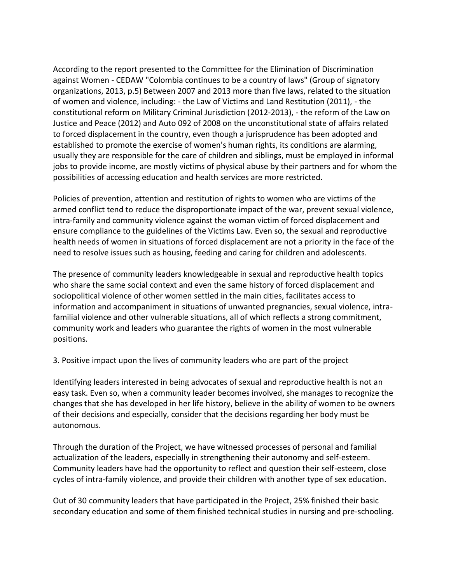According to the report presented to the Committee for the Elimination of Discrimination against Women - CEDAW "Colombia continues to be a country of laws" (Group of signatory organizations, 2013, p.5) Between 2007 and 2013 more than five laws, related to the situation of women and violence, including: - the Law of Victims and Land Restitution (2011), - the constitutional reform on Military Criminal Jurisdiction (2012-2013), - the reform of the Law on Justice and Peace (2012) and Auto 092 of 2008 on the unconstitutional state of affairs related to forced displacement in the country, even though a jurisprudence has been adopted and established to promote the exercise of women's human rights, its conditions are alarming, usually they are responsible for the care of children and siblings, must be employed in informal jobs to provide income, are mostly victims of physical abuse by their partners and for whom the possibilities of accessing education and health services are more restricted.

Policies of prevention, attention and restitution of rights to women who are victims of the armed conflict tend to reduce the disproportionate impact of the war, prevent sexual violence, intra-family and community violence against the woman victim of forced displacement and ensure compliance to the guidelines of the Victims Law. Even so, the sexual and reproductive health needs of women in situations of forced displacement are not a priority in the face of the need to resolve issues such as housing, feeding and caring for children and adolescents.

The presence of community leaders knowledgeable in sexual and reproductive health topics who share the same social context and even the same history of forced displacement and sociopolitical violence of other women settled in the main cities, facilitates access to information and accompaniment in situations of unwanted pregnancies, sexual violence, intrafamilial violence and other vulnerable situations, all of which reflects a strong commitment, community work and leaders who guarantee the rights of women in the most vulnerable positions.

3. Positive impact upon the lives of community leaders who are part of the project

Identifying leaders interested in being advocates of sexual and reproductive health is not an easy task. Even so, when a community leader becomes involved, she manages to recognize the changes that she has developed in her life history, believe in the ability of women to be owners of their decisions and especially, consider that the decisions regarding her body must be autonomous.

Through the duration of the Project, we have witnessed processes of personal and familial actualization of the leaders, especially in strengthening their autonomy and self-esteem. Community leaders have had the opportunity to reflect and question their self-esteem, close cycles of intra-family violence, and provide their children with another type of sex education.

Out of 30 community leaders that have participated in the Project, 25% finished their basic secondary education and some of them finished technical studies in nursing and pre-schooling.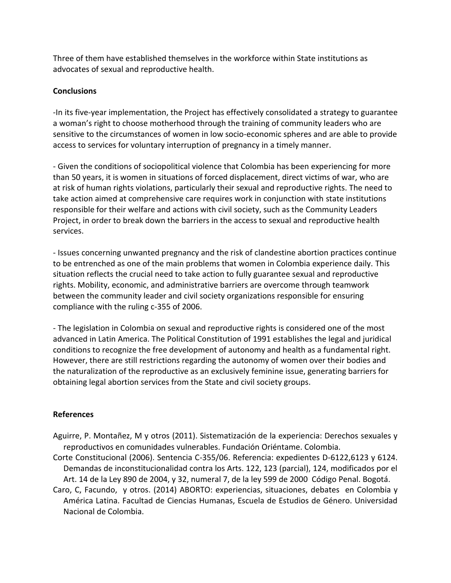Three of them have established themselves in the workforce within State institutions as advocates of sexual and reproductive health.

## **Conclusions**

-In its five-year implementation, the Project has effectively consolidated a strategy to guarantee a woman's right to choose motherhood through the training of community leaders who are sensitive to the circumstances of women in low socio-economic spheres and are able to provide access to services for voluntary interruption of pregnancy in a timely manner.

- Given the conditions of sociopolitical violence that Colombia has been experiencing for more than 50 years, it is women in situations of forced displacement, direct victims of war, who are at risk of human rights violations, particularly their sexual and reproductive rights. The need to take action aimed at comprehensive care requires work in conjunction with state institutions responsible for their welfare and actions with civil society, such as the Community Leaders Project, in order to break down the barriers in the access to sexual and reproductive health services.

- Issues concerning unwanted pregnancy and the risk of clandestine abortion practices continue to be entrenched as one of the main problems that women in Colombia experience daily. This situation reflects the crucial need to take action to fully guarantee sexual and reproductive rights. Mobility, economic, and administrative barriers are overcome through teamwork between the community leader and civil society organizations responsible for ensuring compliance with the ruling c-355 of 2006.

- The legislation in Colombia on sexual and reproductive rights is considered one of the most advanced in Latin America. The Political Constitution of 1991 establishes the legal and juridical conditions to recognize the free development of autonomy and health as a fundamental right. However, there are still restrictions regarding the autonomy of women over their bodies and the naturalization of the reproductive as an exclusively feminine issue, generating barriers for obtaining legal abortion services from the State and civil society groups.

#### **References**

- Aguirre, P. Montañez, M y otros (2011). Sistematización de la experiencia: Derechos sexuales y reproductivos en comunidades vulnerables. Fundación Oriéntame. Colombia.
- Corte Constitucional (2006). Sentencia C-355/06. Referencia: expedientes D-6122,6123 y 6124. Demandas de inconstitucionalidad contra los Arts. 122, 123 (parcial), 124, modificados por el Art. 14 de la Ley 890 de 2004, y 32, numeral 7, de la ley 599 de 2000 Código Penal. Bogotá.
- Caro, C, Facundo, y otros. (2014) ABORTO: experiencias, situaciones, debates en Colombia y América Latina. Facultad de Ciencias Humanas, Escuela de Estudios de Género. Universidad Nacional de Colombia.